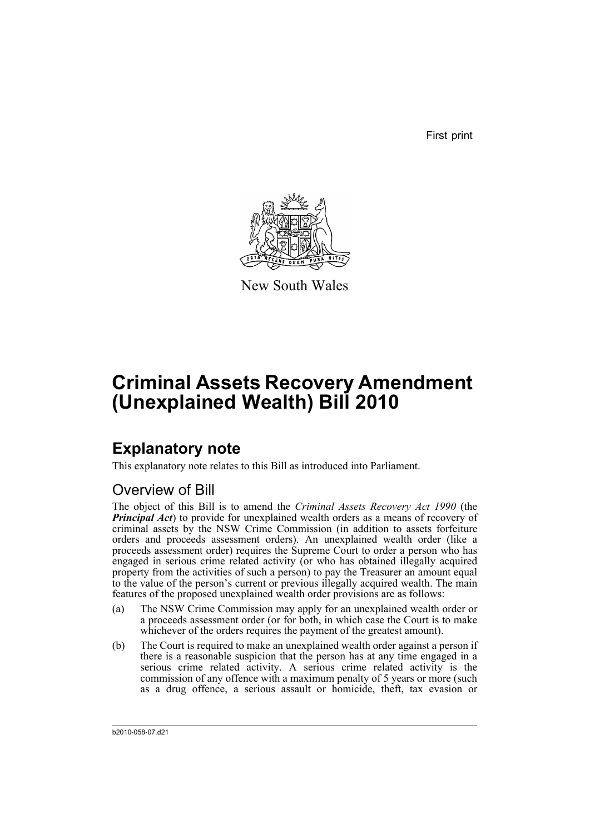First print



New South Wales

# **Criminal Assets Recovery Amendment (Unexplained Wealth) Bill 2010**

## **Explanatory note**

This explanatory note relates to this Bill as introduced into Parliament.

## Overview of Bill

The object of this Bill is to amend the *Criminal Assets Recovery Act 1990* (the *Principal Act*) to provide for unexplained wealth orders as a means of recovery of criminal assets by the NSW Crime Commission (in addition to assets forfeiture orders and proceeds assessment orders). An unexplained wealth order (like a proceeds assessment order) requires the Supreme Court to order a person who has engaged in serious crime related activity (or who has obtained illegally acquired property from the activities of such a person) to pay the Treasurer an amount equal to the value of the person's current or previous illegally acquired wealth. The main features of the proposed unexplained wealth order provisions are as follows:

- (a) The NSW Crime Commission may apply for an unexplained wealth order or a proceeds assessment order (or for both, in which case the Court is to make whichever of the orders requires the payment of the greatest amount).
- (b) The Court is required to make an unexplained wealth order against a person if there is a reasonable suspicion that the person has at any time engaged in a serious crime related activity. A serious crime related activity is the commission of any offence with a maximum penalty of 5 years or more (such as a drug offence, a serious assault or homicide, theft, tax evasion or

b2010-058-07.d21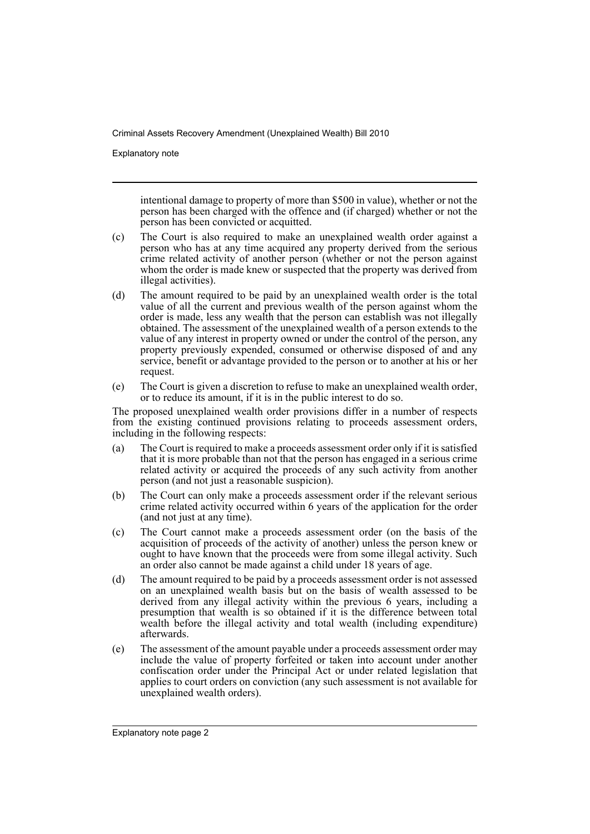Explanatory note

intentional damage to property of more than \$500 in value), whether or not the person has been charged with the offence and (if charged) whether or not the person has been convicted or acquitted.

- (c) The Court is also required to make an unexplained wealth order against a person who has at any time acquired any property derived from the serious crime related activity of another person (whether or not the person against whom the order is made knew or suspected that the property was derived from illegal activities).
- (d) The amount required to be paid by an unexplained wealth order is the total value of all the current and previous wealth of the person against whom the order is made, less any wealth that the person can establish was not illegally obtained. The assessment of the unexplained wealth of a person extends to the value of any interest in property owned or under the control of the person, any property previously expended, consumed or otherwise disposed of and any service, benefit or advantage provided to the person or to another at his or her request.
- (e) The Court is given a discretion to refuse to make an unexplained wealth order, or to reduce its amount, if it is in the public interest to do so.

The proposed unexplained wealth order provisions differ in a number of respects from the existing continued provisions relating to proceeds assessment orders, including in the following respects:

- (a) The Court is required to make a proceeds assessment order only if it is satisfied that it is more probable than not that the person has engaged in a serious crime related activity or acquired the proceeds of any such activity from another person (and not just a reasonable suspicion).
- (b) The Court can only make a proceeds assessment order if the relevant serious crime related activity occurred within 6 years of the application for the order (and not just at any time).
- (c) The Court cannot make a proceeds assessment order (on the basis of the acquisition of proceeds of the activity of another) unless the person knew or ought to have known that the proceeds were from some illegal activity. Such an order also cannot be made against a child under 18 years of age.
- (d) The amount required to be paid by a proceeds assessment order is not assessed on an unexplained wealth basis but on the basis of wealth assessed to be derived from any illegal activity within the previous 6 years, including a presumption that wealth is so obtained if it is the difference between total wealth before the illegal activity and total wealth (including expenditure) afterwards.
- (e) The assessment of the amount payable under a proceeds assessment order may include the value of property forfeited or taken into account under another confiscation order under the Principal Act or under related legislation that applies to court orders on conviction (any such assessment is not available for unexplained wealth orders).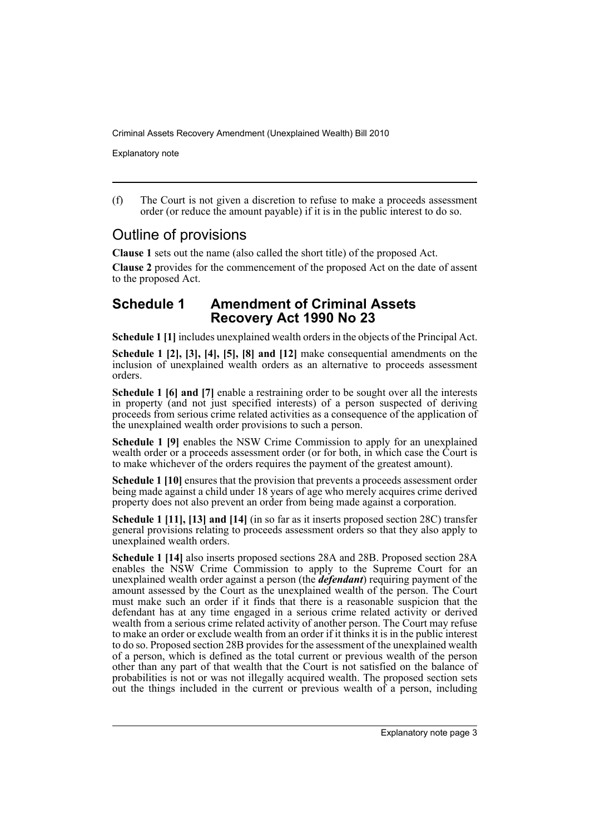Explanatory note

(f) The Court is not given a discretion to refuse to make a proceeds assessment order (or reduce the amount payable) if it is in the public interest to do so.

## Outline of provisions

**Clause 1** sets out the name (also called the short title) of the proposed Act.

**Clause 2** provides for the commencement of the proposed Act on the date of assent to the proposed Act.

## **Schedule 1 Amendment of Criminal Assets Recovery Act 1990 No 23**

**Schedule 1 [1]** includes unexplained wealth orders in the objects of the Principal Act.

**Schedule 1 [2], [3], [4], [5], [8] and [12]** make consequential amendments on the inclusion of unexplained wealth orders as an alternative to proceeds assessment orders.

**Schedule 1 [6] and [7]** enable a restraining order to be sought over all the interests in property (and not just specified interests) of a person suspected of deriving proceeds from serious crime related activities as a consequence of the application of the unexplained wealth order provisions to such a person.

**Schedule 1 [9]** enables the NSW Crime Commission to apply for an unexplained wealth order or a proceeds assessment order (or for both, in which case the Court is to make whichever of the orders requires the payment of the greatest amount).

**Schedule 1 [10]** ensures that the provision that prevents a proceeds assessment order being made against a child under 18 years of age who merely acquires crime derived property does not also prevent an order from being made against a corporation.

**Schedule 1 [11], [13] and [14]** (in so far as it inserts proposed section 28C) transfer general provisions relating to proceeds assessment orders so that they also apply to unexplained wealth orders.

**Schedule 1 [14]** also inserts proposed sections 28A and 28B. Proposed section 28A enables the NSW Crime Commission to apply to the Supreme Court for an unexplained wealth order against a person (the *defendant*) requiring payment of the amount assessed by the Court as the unexplained wealth of the person. The Court must make such an order if it finds that there is a reasonable suspicion that the defendant has at any time engaged in a serious crime related activity or derived wealth from a serious crime related activity of another person. The Court may refuse to make an order or exclude wealth from an order if it thinks it is in the public interest to do so. Proposed section 28B provides for the assessment of the unexplained wealth of a person, which is defined as the total current or previous wealth of the person other than any part of that wealth that the Court is not satisfied on the balance of probabilities is not or was not illegally acquired wealth. The proposed section sets out the things included in the current or previous wealth of a person, including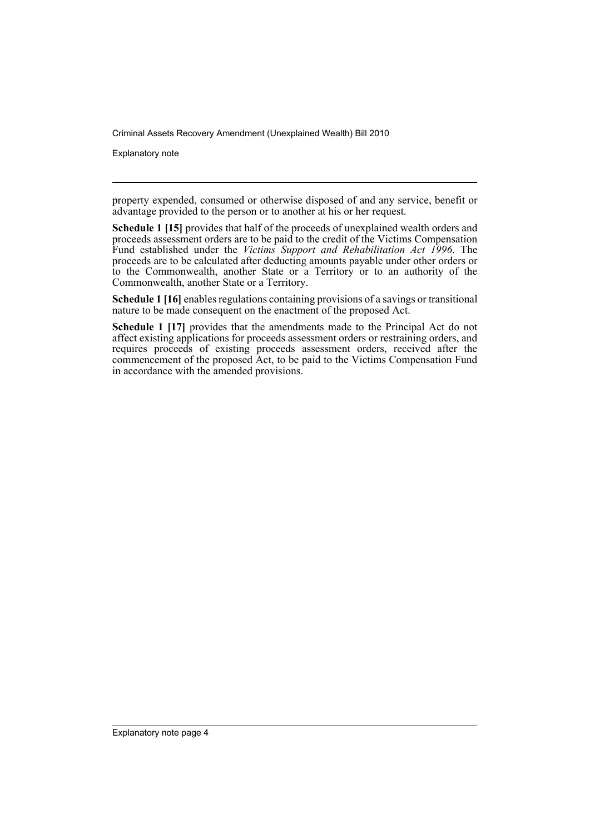Explanatory note

property expended, consumed or otherwise disposed of and any service, benefit or advantage provided to the person or to another at his or her request.

**Schedule 1 [15]** provides that half of the proceeds of unexplained wealth orders and proceeds assessment orders are to be paid to the credit of the Victims Compensation Fund established under the *Victims Support and Rehabilitation Act 1996*. The proceeds are to be calculated after deducting amounts payable under other orders or to the Commonwealth, another State or a Territory or to an authority of the Commonwealth, another State or a Territory.

**Schedule 1 [16]** enables regulations containing provisions of a savings or transitional nature to be made consequent on the enactment of the proposed Act.

**Schedule 1 [17]** provides that the amendments made to the Principal Act do not affect existing applications for proceeds assessment orders or restraining orders, and requires proceeds of existing proceeds assessment orders, received after the commencement of the proposed Act, to be paid to the Victims Compensation Fund in accordance with the amended provisions.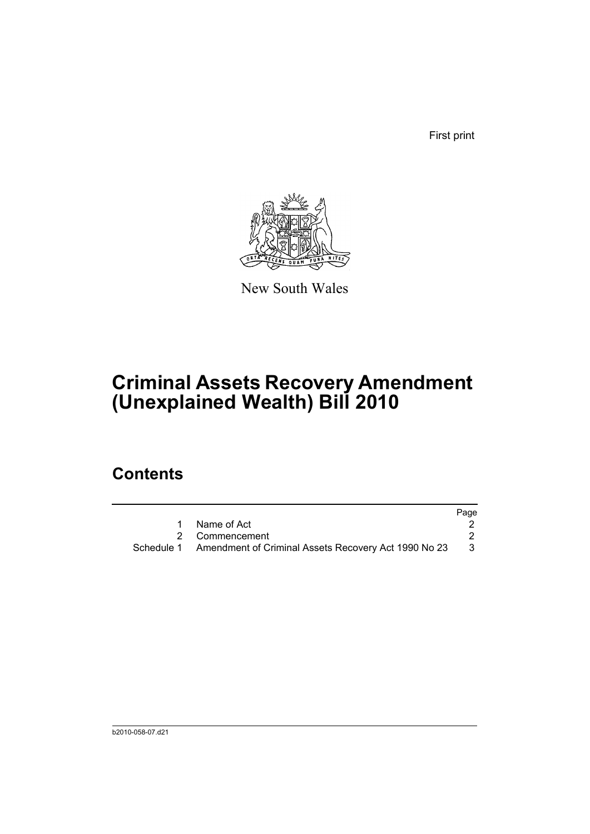First print



New South Wales

# **Criminal Assets Recovery Amendment (Unexplained Wealth) Bill 2010**

## **Contents**

|            |                                                      | Page |
|------------|------------------------------------------------------|------|
|            | Name of Act                                          |      |
|            | 2 Commencement                                       |      |
| Schedule 1 | Amendment of Criminal Assets Recovery Act 1990 No 23 | - 3  |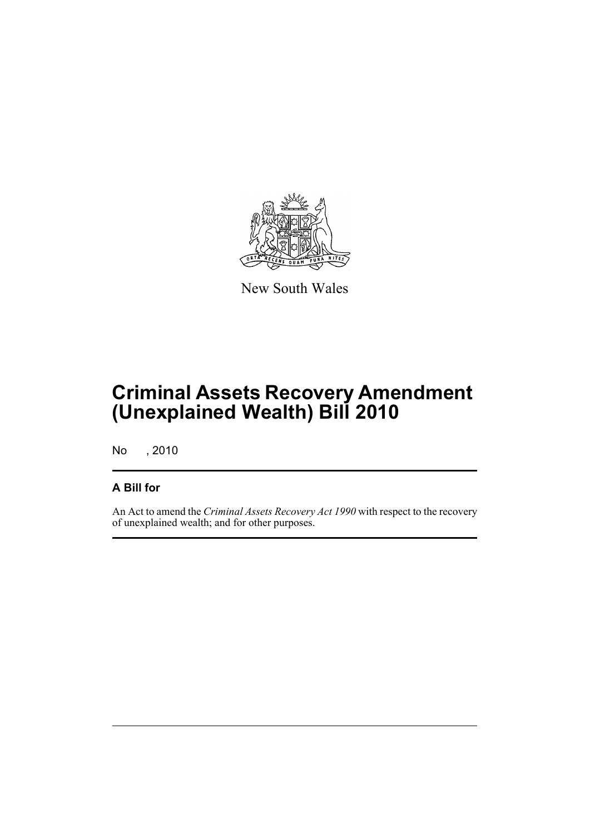

New South Wales

# **Criminal Assets Recovery Amendment (Unexplained Wealth) Bill 2010**

No , 2010

### **A Bill for**

An Act to amend the *Criminal Assets Recovery Act 1990* with respect to the recovery of unexplained wealth; and for other purposes.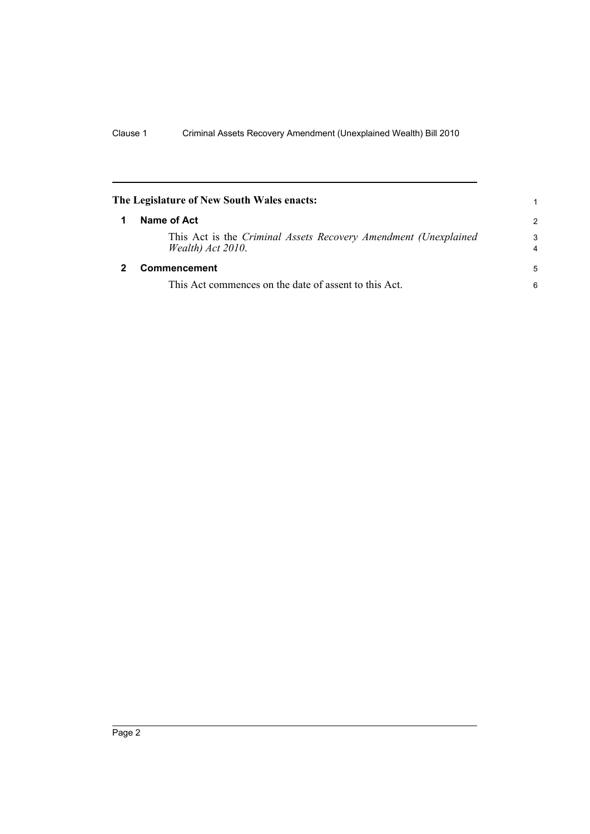<span id="page-7-1"></span><span id="page-7-0"></span>

| The Legislature of New South Wales enacts:                                           | 1                   |
|--------------------------------------------------------------------------------------|---------------------|
| Name of Act                                                                          | $\mathcal{P}$       |
| This Act is the Criminal Assets Recovery Amendment (Unexplained<br>Wealth) Act 2010. | 3<br>$\overline{4}$ |
| Commencement                                                                         | 5                   |
| This Act commences on the date of assent to this Act.                                | 6                   |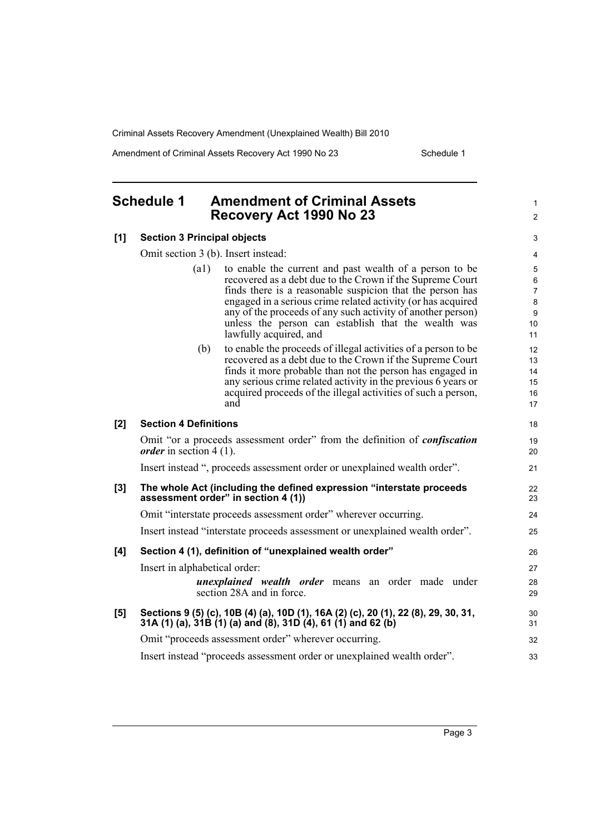Amendment of Criminal Assets Recovery Act 1990 No 23 Schedule 1

1 2

#### <span id="page-8-0"></span>**Schedule 1 Amendment of Criminal Assets Recovery Act 1990 No 23**

#### **[1] Section 3 Principal objects**

Omit section 3 (b). Insert instead:

| (a1) | to enable the current and past wealth of a person to be      |
|------|--------------------------------------------------------------|
|      | recovered as a debt due to the Crown if the Supreme Court    |
|      | finds there is a reasonable suspicion that the person has    |
|      | engaged in a serious crime related activity (or has acquired |
|      | any of the proceeds of any such activity of another person)  |
|      | unless the person can establish that the wealth was          |
|      | lawfully acquired, and                                       |
|      |                                                              |

(b) to enable the proceeds of illegal activities of a person to be recovered as a debt due to the Crown if the Supreme Court finds it more probable than not the person has engaged in any serious crime related activity in the previous 6 years or acquired proceeds of the illegal activities of such a person, and

|       | acquired proceeds of the illegal activities of such a person,<br>and                                                                               | 16<br>17 |
|-------|----------------------------------------------------------------------------------------------------------------------------------------------------|----------|
| [2]   | <b>Section 4 Definitions</b>                                                                                                                       | 18       |
|       | Omit "or a proceeds assessment order" from the definition of <i>confiscation</i><br><i>order</i> in section 4 (1).                                 | 19<br>20 |
|       | Insert instead ", proceeds assessment order or unexplained wealth order".                                                                          | 21       |
| $[3]$ | The whole Act (including the defined expression "interstate proceeds<br>assessment order" in section 4 (1))                                        | 22<br>23 |
|       | Omit "interstate proceeds assessment order" wherever occurring.                                                                                    | 24       |
|       | Insert instead "interstate proceeds assessment or unexplained wealth order".                                                                       | 25       |
| [4]   | Section 4 (1), definition of "unexplained wealth order"                                                                                            | 26       |
|       | Insert in alphabetical order:                                                                                                                      | 27       |
|       | <i>unexplained wealth order</i> means an order made under<br>section 28A and in force.                                                             | 28<br>29 |
| [5]   | Sections 9 (5) (c), 10B (4) (a), 10D (1), 16A (2) (c), 20 (1), 22 (8), 29, 30, 31,<br>31A (1) (a), 31B (1) (a) and (8), 31D (4), 61 (1) and 62 (b) | 30<br>31 |
|       | Omit "proceeds assessment order" wherever occurring.                                                                                               | 32       |
|       | Insert instead "proceeds assessment order or unexplained wealth order".                                                                            | 33       |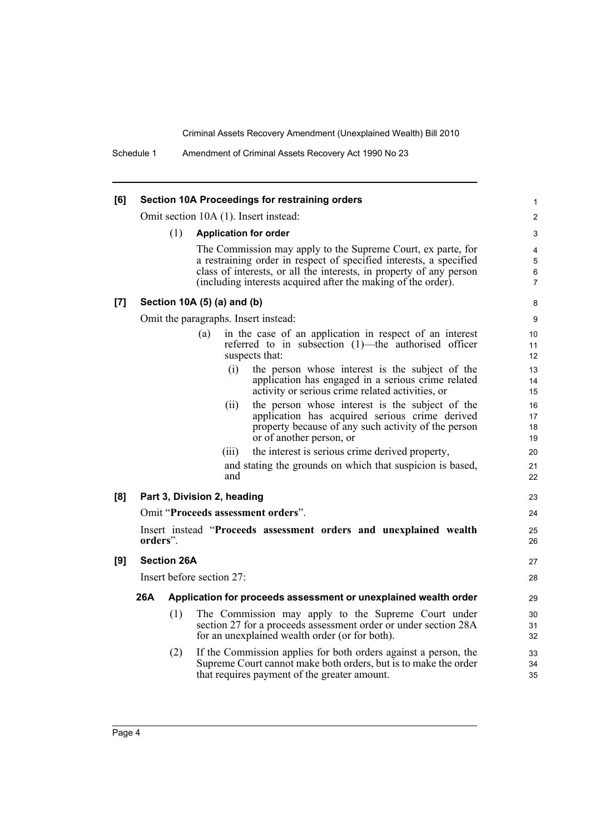| [6] |                                    |     |                             | Section 10A Proceedings for restraining orders                                                                                       | 1                   |
|-----|------------------------------------|-----|-----------------------------|--------------------------------------------------------------------------------------------------------------------------------------|---------------------|
|     |                                    |     |                             | Omit section 10A (1). Insert instead:                                                                                                | $\overline{c}$      |
|     |                                    | (1) |                             | <b>Application for order</b>                                                                                                         | 3                   |
|     |                                    |     |                             | The Commission may apply to the Supreme Court, ex parte, for                                                                         | $\overline{4}$      |
|     |                                    |     |                             | a restraining order in respect of specified interests, a specified                                                                   | 5                   |
|     |                                    |     |                             | class of interests, or all the interests, in property of any person<br>(including interests acquired after the making of the order). | 6<br>$\overline{7}$ |
| [7] |                                    |     | Section 10A (5) (a) and (b) |                                                                                                                                      | 8                   |
|     |                                    |     |                             | Omit the paragraphs. Insert instead:                                                                                                 | 9                   |
|     |                                    |     | (a)                         | in the case of an application in respect of an interest                                                                              | 10                  |
|     |                                    |     |                             | referred to in subsection (1)—the authorised officer<br>suspects that:                                                               | 11<br>12            |
|     |                                    |     |                             | the person whose interest is the subject of the<br>(i)                                                                               | 13                  |
|     |                                    |     |                             | application has engaged in a serious crime related<br>activity or serious crime related activities, or                               | 14<br>15            |
|     |                                    |     | (11)                        | the person whose interest is the subject of the                                                                                      | 16                  |
|     |                                    |     |                             | application has acquired serious crime derived                                                                                       | 17                  |
|     |                                    |     |                             | property because of any such activity of the person                                                                                  | 18                  |
|     |                                    |     | (111)                       | or of another person, or<br>the interest is serious crime derived property,                                                          | 19<br>20            |
|     |                                    |     |                             | and stating the grounds on which that suspicion is based,                                                                            | 21                  |
|     |                                    |     |                             | and                                                                                                                                  | 22                  |
| [8] |                                    |     | Part 3, Division 2, heading |                                                                                                                                      | 23                  |
|     | Omit "Proceeds assessment orders". |     |                             |                                                                                                                                      |                     |
|     | orders".                           |     |                             | Insert instead "Proceeds assessment orders and unexplained wealth                                                                    | 25                  |
|     |                                    |     |                             |                                                                                                                                      | 26                  |
| [9] | <b>Section 26A</b>                 |     |                             |                                                                                                                                      |                     |
|     | Insert before section 27:          |     |                             |                                                                                                                                      |                     |
|     | 26A                                |     |                             | Application for proceeds assessment or unexplained wealth order                                                                      | 29                  |
|     |                                    | (1) |                             | The Commission may apply to the Supreme Court under                                                                                  | 30                  |
|     |                                    |     |                             | section 27 for a proceeds assessment order or under section 28A<br>for an unexplained wealth order (or for both).                    | 31<br>32            |
|     |                                    | (2) |                             | If the Commission applies for both orders against a person, the                                                                      | 33                  |
|     |                                    |     |                             | Supreme Court cannot make both orders, but is to make the order                                                                      | 34                  |
|     |                                    |     |                             | that requires payment of the greater amount.                                                                                         | 35                  |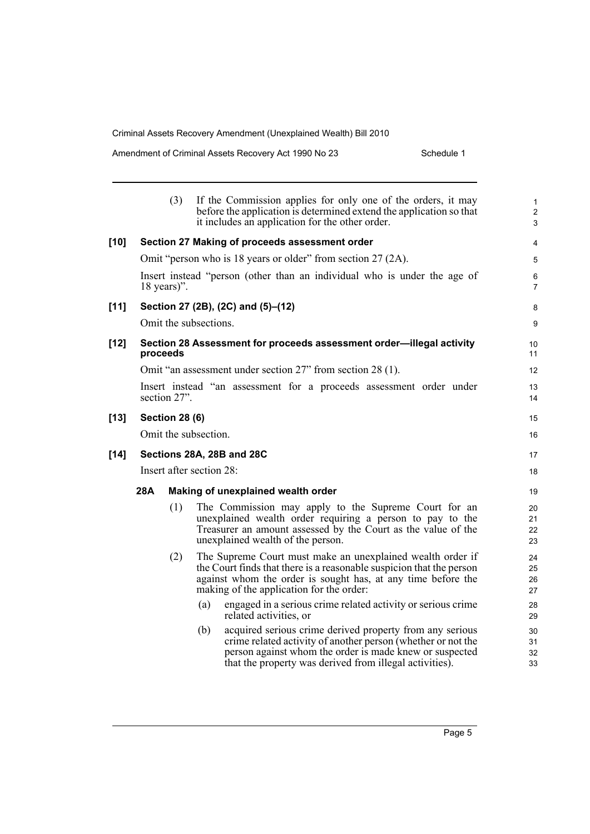| Amendment of Criminal Assets Recovery Act 1990 No 23 | Schedule 1 |
|------------------------------------------------------|------------|
|                                                      |            |

|        |                          | (3)                   | If the Commission applies for only one of the orders, it may<br>before the application is determined extend the application so that<br>it includes an application for the other order.                                                                | $\mathbf{1}$<br>$\overline{2}$<br>3 |  |
|--------|--------------------------|-----------------------|-------------------------------------------------------------------------------------------------------------------------------------------------------------------------------------------------------------------------------------------------------|-------------------------------------|--|
| $[10]$ |                          |                       | Section 27 Making of proceeds assessment order                                                                                                                                                                                                        | $\overline{4}$                      |  |
|        |                          |                       | Omit "person who is 18 years or older" from section 27 (2A).                                                                                                                                                                                          | 5                                   |  |
|        |                          | $18 \text{ years}$ ". | Insert instead "person (other than an individual who is under the age of                                                                                                                                                                              | 6<br>7                              |  |
| $[11]$ |                          |                       | Section 27 (2B), (2C) and (5)–(12)                                                                                                                                                                                                                    | 8                                   |  |
|        |                          |                       | Omit the subsections.                                                                                                                                                                                                                                 | 9                                   |  |
| $[12]$ | proceeds                 |                       | Section 28 Assessment for proceeds assessment order-illegal activity                                                                                                                                                                                  | 10<br>11                            |  |
|        |                          |                       | Omit "an assessment under section 27" from section 28 (1).                                                                                                                                                                                            | 12                                  |  |
|        |                          | section 27".          | Insert instead "an assessment for a proceeds assessment order under                                                                                                                                                                                   | 13<br>14                            |  |
| $[13]$ |                          | <b>Section 28 (6)</b> |                                                                                                                                                                                                                                                       | 15                                  |  |
|        |                          |                       | Omit the subsection.                                                                                                                                                                                                                                  | 16                                  |  |
| $[14]$ |                          |                       | Sections 28A, 28B and 28C                                                                                                                                                                                                                             | 17                                  |  |
|        | Insert after section 28: |                       |                                                                                                                                                                                                                                                       |                                     |  |
|        | 28A                      |                       | Making of unexplained wealth order                                                                                                                                                                                                                    | 19                                  |  |
|        |                          | (1)                   | The Commission may apply to the Supreme Court for an<br>unexplained wealth order requiring a person to pay to the<br>Treasurer an amount assessed by the Court as the value of the<br>unexplained wealth of the person.                               | 20<br>21<br>22<br>23                |  |
|        |                          | (2)                   | The Supreme Court must make an unexplained wealth order if<br>the Court finds that there is a reasonable suspicion that the person<br>against whom the order is sought has, at any time before the<br>making of the application for the order:        | 24<br>25<br>26<br>27                |  |
|        |                          |                       | (a)<br>engaged in a serious crime related activity or serious crime<br>related activities, or                                                                                                                                                         | 28<br>29                            |  |
|        |                          |                       | acquired serious crime derived property from any serious<br>(b)<br>crime related activity of another person (whether or not the<br>person against whom the order is made knew or suspected<br>that the property was derived from illegal activities). | 30<br>31<br>32<br>33                |  |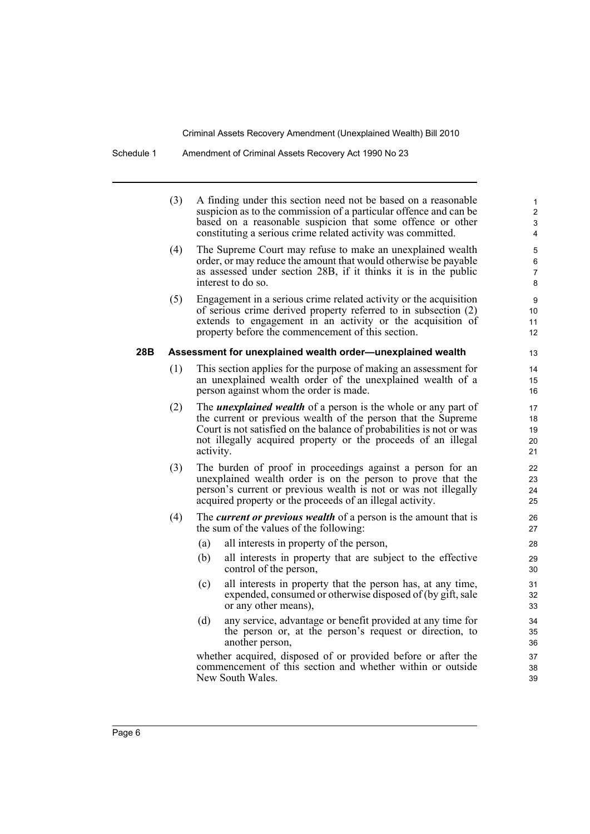|     | (3) | A finding under this section need not be based on a reasonable<br>suspicion as to the commission of a particular offence and can be<br>based on a reasonable suspicion that some offence or other<br>constituting a serious crime related activity was committed.                            | $\mathbf{1}$<br>$\overline{c}$<br>3<br>4 |
|-----|-----|----------------------------------------------------------------------------------------------------------------------------------------------------------------------------------------------------------------------------------------------------------------------------------------------|------------------------------------------|
|     | (4) | The Supreme Court may refuse to make an unexplained wealth<br>order, or may reduce the amount that would otherwise be payable<br>as assessed under section 28B, if it thinks it is in the public<br>interest to do so.                                                                       | 5<br>6<br>7<br>8                         |
|     | (5) | Engagement in a serious crime related activity or the acquisition<br>of serious crime derived property referred to in subsection (2)<br>extends to engagement in an activity or the acquisition of<br>property before the commencement of this section.                                      | 9<br>10<br>11<br>12                      |
| 28B |     | Assessment for unexplained wealth order-unexplained wealth                                                                                                                                                                                                                                   | 13                                       |
|     | (1) | This section applies for the purpose of making an assessment for<br>an unexplained wealth order of the unexplained wealth of a<br>person against whom the order is made.                                                                                                                     | 14<br>15<br>16                           |
|     | (2) | The <i>unexplained wealth</i> of a person is the whole or any part of<br>the current or previous wealth of the person that the Supreme<br>Court is not satisfied on the balance of probabilities is not or was<br>not illegally acquired property or the proceeds of an illegal<br>activity. | 17<br>18<br>19<br>20<br>21               |
|     | (3) | The burden of proof in proceedings against a person for an<br>unexplained wealth order is on the person to prove that the<br>person's current or previous wealth is not or was not illegally<br>acquired property or the proceeds of an illegal activity.                                    | 22<br>23<br>24<br>25                     |
|     | (4) | The <i>current or previous wealth</i> of a person is the amount that is<br>the sum of the values of the following:                                                                                                                                                                           | 26<br>27                                 |
|     |     | (a)<br>all interests in property of the person,                                                                                                                                                                                                                                              | 28                                       |
|     |     | (b)<br>all interests in property that are subject to the effective<br>control of the person,                                                                                                                                                                                                 | 29<br>30                                 |
|     |     | (c)<br>all interests in property that the person has, at any time,<br>expended, consumed or otherwise disposed of (by gift, sale<br>or any other means),                                                                                                                                     | 31<br>32<br>33                           |
|     |     | (d)<br>any service, advantage or benefit provided at any time for<br>the person or, at the person's request or direction, to<br>another person,                                                                                                                                              | 34<br>35<br>36                           |
|     |     | whether acquired, disposed of or provided before or after the<br>commencement of this section and whether within or outside<br>New South Wales.                                                                                                                                              | 37<br>38<br>39                           |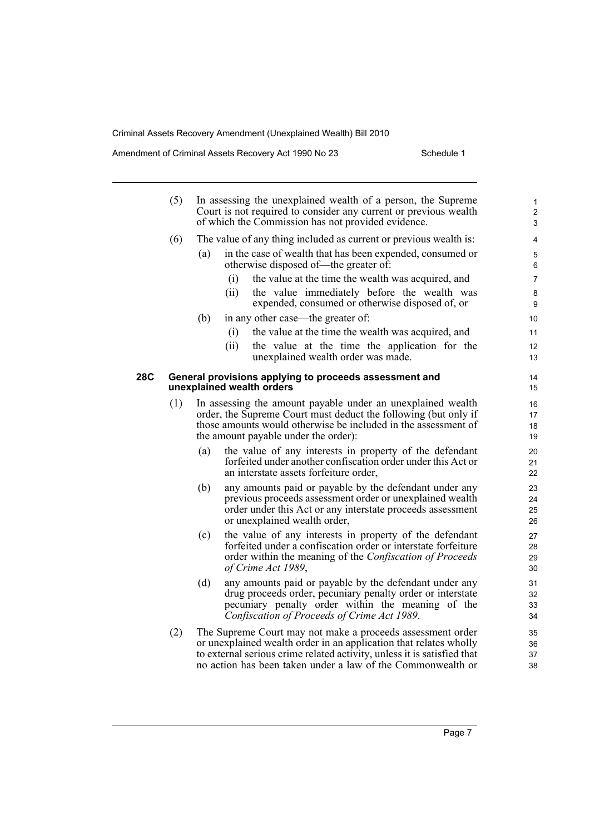Amendment of Criminal Assets Recovery Act 1990 No 23 Schedule 1

|     | (5) |     | In assessing the unexplained wealth of a person, the Supreme<br>Court is not required to consider any current or previous wealth<br>of which the Commission has not provided evidence.                                                                                    | 1<br>$\overline{2}$<br>3 |
|-----|-----|-----|---------------------------------------------------------------------------------------------------------------------------------------------------------------------------------------------------------------------------------------------------------------------------|--------------------------|
|     | (6) |     | The value of any thing included as current or previous wealth is:                                                                                                                                                                                                         | $\overline{4}$           |
|     |     | (a) | in the case of wealth that has been expended, consumed or<br>otherwise disposed of—the greater of:                                                                                                                                                                        | 5<br>6                   |
|     |     |     | the value at the time the wealth was acquired, and<br>(i)                                                                                                                                                                                                                 | 7                        |
|     |     |     | the value immediately before the wealth was<br>(ii)<br>expended, consumed or otherwise disposed of, or                                                                                                                                                                    | 8<br>9                   |
|     |     | (b) | in any other case—the greater of:                                                                                                                                                                                                                                         | 10                       |
|     |     |     | (i)<br>the value at the time the wealth was acquired, and                                                                                                                                                                                                                 | 11                       |
|     |     |     | (ii)<br>the value at the time the application for the<br>unexplained wealth order was made.                                                                                                                                                                               | 12<br>13                 |
| 28C |     |     | General provisions applying to proceeds assessment and<br>unexplained wealth orders                                                                                                                                                                                       | 14<br>15                 |
|     | (1) |     | In assessing the amount payable under an unexplained wealth<br>order, the Supreme Court must deduct the following (but only if<br>those amounts would otherwise be included in the assessment of<br>the amount payable under the order):                                  | 16<br>17<br>18<br>19     |
|     |     | (a) | the value of any interests in property of the defendant<br>forfeited under another confiscation order under this Act or<br>an interstate assets forfeiture order,                                                                                                         | 20<br>21<br>22           |
|     |     | (b) | any amounts paid or payable by the defendant under any<br>previous proceeds assessment order or unexplained wealth<br>order under this Act or any interstate proceeds assessment<br>or unexplained wealth order,                                                          | 23<br>24<br>25<br>26     |
|     |     | (c) | the value of any interests in property of the defendant<br>forfeited under a confiscation order or interstate forfeiture<br>order within the meaning of the <i>Confiscation of Proceeds</i><br>of Crime Act 1989,                                                         | 27<br>28<br>29<br>30     |
|     |     | (d) | any amounts paid or payable by the defendant under any<br>drug proceeds order, pecuniary penalty order or interstate<br>pecuniary penalty order within the meaning of the<br>Confiscation of Proceeds of Crime Act 1989.                                                  | 31<br>32<br>33<br>34     |
|     | (2) |     | The Supreme Court may not make a proceeds assessment order<br>or unexplained wealth order in an application that relates wholly<br>to external serious crime related activity, unless it is satisfied that<br>no action has been taken under a law of the Commonwealth or | 35<br>36<br>37<br>38     |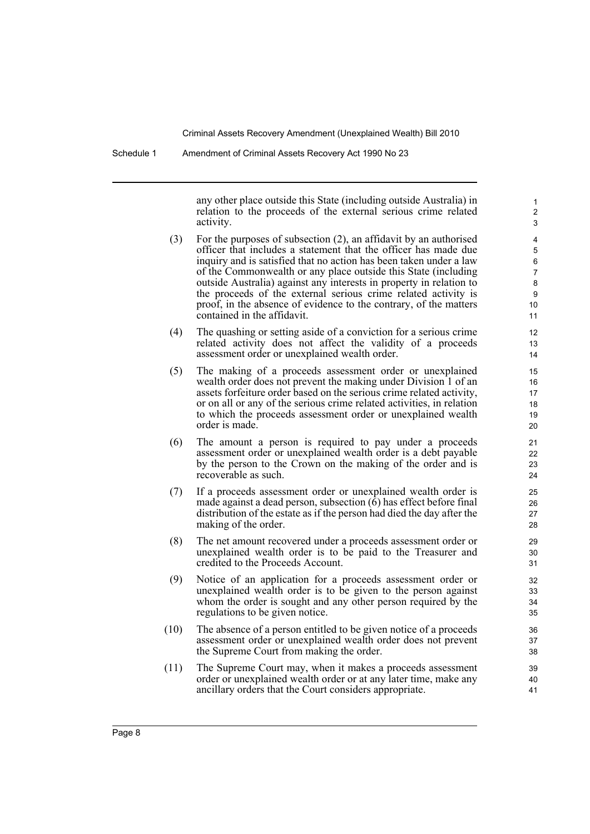any other place outside this State (including outside Australia) in relation to the proceeds of the external serious crime related activity.

- (3) For the purposes of subsection (2), an affidavit by an authorised officer that includes a statement that the officer has made due inquiry and is satisfied that no action has been taken under a law of the Commonwealth or any place outside this State (including outside Australia) against any interests in property in relation to the proceeds of the external serious crime related activity is proof, in the absence of evidence to the contrary, of the matters contained in the affidavit.
- (4) The quashing or setting aside of a conviction for a serious crime related activity does not affect the validity of a proceeds assessment order or unexplained wealth order.
- (5) The making of a proceeds assessment order or unexplained wealth order does not prevent the making under Division 1 of an assets forfeiture order based on the serious crime related activity, or on all or any of the serious crime related activities, in relation to which the proceeds assessment order or unexplained wealth order is made.
- (6) The amount a person is required to pay under a proceeds assessment order or unexplained wealth order is a debt payable by the person to the Crown on the making of the order and is recoverable as such.
- (7) If a proceeds assessment order or unexplained wealth order is made against a dead person, subsection (6) has effect before final distribution of the estate as if the person had died the day after the making of the order.
- (8) The net amount recovered under a proceeds assessment order or unexplained wealth order is to be paid to the Treasurer and credited to the Proceeds Account.
- (9) Notice of an application for a proceeds assessment order or unexplained wealth order is to be given to the person against whom the order is sought and any other person required by the regulations to be given notice.
- (10) The absence of a person entitled to be given notice of a proceeds assessment order or unexplained wealth order does not prevent the Supreme Court from making the order.
- (11) The Supreme Court may, when it makes a proceeds assessment order or unexplained wealth order or at any later time, make any ancillary orders that the Court considers appropriate.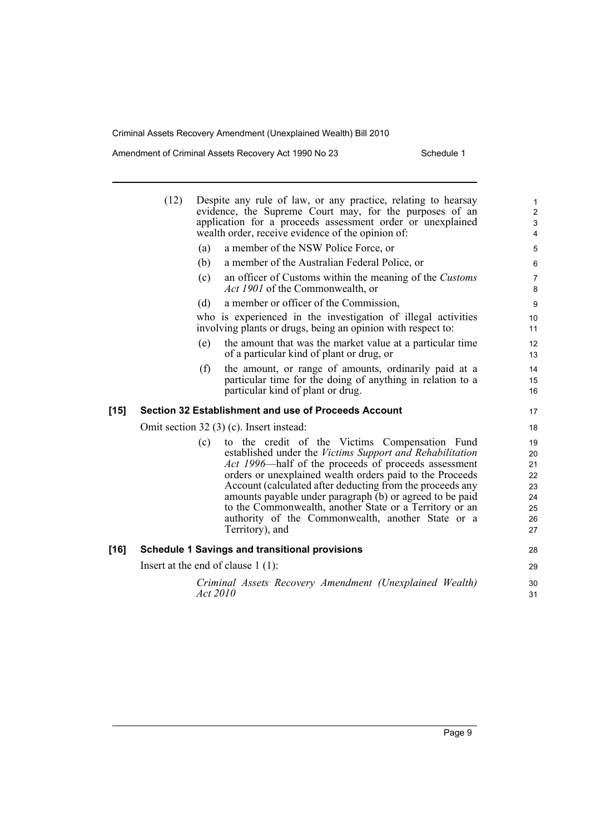Amendment of Criminal Assets Recovery Act 1990 No 23 Schedule 1

|        | (12)                                 | Despite any rule of law, or any practice, relating to hearsay<br>evidence, the Supreme Court may, for the purposes of an<br>application for a proceeds assessment order or unexplained<br>wealth order, receive evidence of the opinion of:                                                                                                                                                                                                                                                | $\mathbf{1}$<br>$\overline{2}$<br>$\ensuremath{\mathsf{3}}$<br>4 |  |
|--------|--------------------------------------|--------------------------------------------------------------------------------------------------------------------------------------------------------------------------------------------------------------------------------------------------------------------------------------------------------------------------------------------------------------------------------------------------------------------------------------------------------------------------------------------|------------------------------------------------------------------|--|
|        | (a)                                  | a member of the NSW Police Force, or                                                                                                                                                                                                                                                                                                                                                                                                                                                       | 5                                                                |  |
|        | (b)                                  | a member of the Australian Federal Police, or                                                                                                                                                                                                                                                                                                                                                                                                                                              | 6                                                                |  |
|        | (c)                                  | an officer of Customs within the meaning of the Customs<br><i>Act 1901</i> of the Commonwealth, or                                                                                                                                                                                                                                                                                                                                                                                         | $\overline{7}$<br>8                                              |  |
|        | (d)                                  | a member or officer of the Commission,                                                                                                                                                                                                                                                                                                                                                                                                                                                     | 9                                                                |  |
|        |                                      | who is experienced in the investigation of illegal activities<br>involving plants or drugs, being an opinion with respect to:                                                                                                                                                                                                                                                                                                                                                              | 10<br>11                                                         |  |
|        | (e)                                  | the amount that was the market value at a particular time<br>of a particular kind of plant or drug, or                                                                                                                                                                                                                                                                                                                                                                                     | 12<br>13                                                         |  |
|        | (f)                                  | the amount, or range of amounts, ordinarily paid at a<br>particular time for the doing of anything in relation to a<br>particular kind of plant or drug.                                                                                                                                                                                                                                                                                                                                   | 14<br>15<br>16                                                   |  |
| $[15]$ |                                      | Section 32 Establishment and use of Proceeds Account                                                                                                                                                                                                                                                                                                                                                                                                                                       | 17                                                               |  |
|        |                                      | Omit section 32 (3) (c). Insert instead:                                                                                                                                                                                                                                                                                                                                                                                                                                                   | 18                                                               |  |
|        | (c)                                  | to the credit of the Victims Compensation Fund<br>established under the Victims Support and Rehabilitation<br>Act 1996—half of the proceeds of proceeds assessment<br>orders or unexplained wealth orders paid to the Proceeds<br>Account (calculated after deducting from the proceeds any<br>amounts payable under paragraph (b) or agreed to be paid<br>to the Commonwealth, another State or a Territory or an<br>authority of the Commonwealth, another State or a<br>Territory), and | 19<br>20<br>21<br>22<br>23<br>24<br>25<br>26<br>27               |  |
| [16]   |                                      | <b>Schedule 1 Savings and transitional provisions</b>                                                                                                                                                                                                                                                                                                                                                                                                                                      | 28                                                               |  |
|        | Insert at the end of clause $1(1)$ : |                                                                                                                                                                                                                                                                                                                                                                                                                                                                                            |                                                                  |  |
|        |                                      | Criminal Assets Recovery Amendment (Unexplained Wealth)                                                                                                                                                                                                                                                                                                                                                                                                                                    | 30                                                               |  |
|        |                                      | Act 2010                                                                                                                                                                                                                                                                                                                                                                                                                                                                                   | 31                                                               |  |